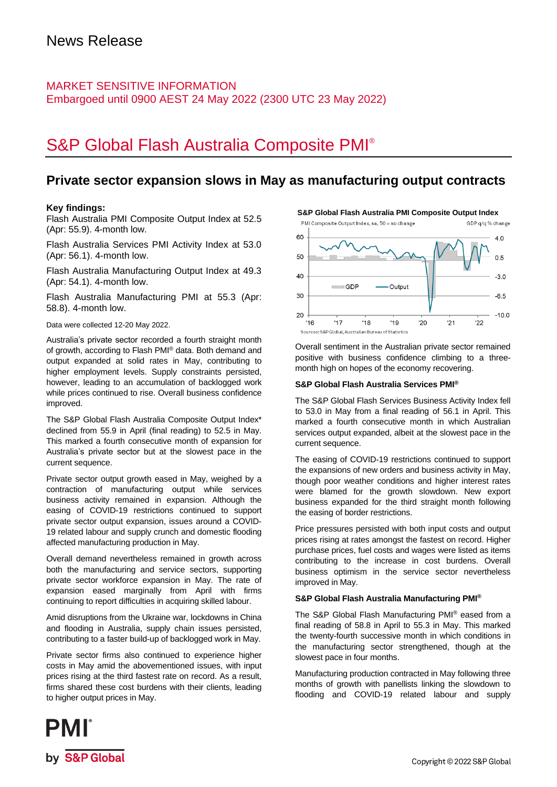### MARKET SENSITIVE INFORMATION Embargoed until 0900 AEST 24 May 2022 (2300 UTC 23 May 2022)

# S&P Global Flash Australia Composite PMI®

### **Private sector expansion slows in May as manufacturing output contracts**

20

 $16$ 

 $17$ 

#### **Key findings:**

Flash Australia PMI Composite Output Index at 52.5 (Apr: 55.9). 4-month low.

Flash Australia Services PMI Activity Index at 53.0 (Apr: 56.1). 4-month low.

Flash Australia Manufacturing Output Index at 49.3 (Apr: 54.1). 4-month low.

Flash Australia Manufacturing PMI at 55.3 (Apr: 58.8). 4-month low.

Data were collected 12-20 May 2022.

Australia's private sector recorded a fourth straight month of growth, according to Flash PMI® data. Both demand and output expanded at solid rates in May, contributing to higher employment levels. Supply constraints persisted, however, leading to an accumulation of backlogged work while prices continued to rise. Overall business confidence improved.

The S&P Global Flash Australia Composite Output Index\* declined from 55.9 in April (final reading) to 52.5 in May. This marked a fourth consecutive month of expansion for Australia's private sector but at the slowest pace in the current sequence.

Private sector output growth eased in May, weighed by a contraction of manufacturing output while services business activity remained in expansion. Although the easing of COVID-19 restrictions continued to support private sector output expansion, issues around a COVID-19 related labour and supply crunch and domestic flooding affected manufacturing production in May.

Overall demand nevertheless remained in growth across both the manufacturing and service sectors, supporting private sector workforce expansion in May. The rate of expansion eased marginally from April with firms continuing to report difficulties in acquiring skilled labour.

Amid disruptions from the Ukraine war, lockdowns in China and flooding in Australia, supply chain issues persisted, contributing to a faster build-up of backlogged work in May.

Private sector firms also continued to experience higher costs in May amid the abovementioned issues, with input prices rising at the third fastest rate on record. As a result, firms shared these cost burdens with their clients, leading to higher output prices in May.



**S&P Global Flash Australia PMI Composite Output Index**

Overall sentiment in the Australian private sector remained positive with business confidence climbing to a threemonth high on hopes of the economy recovering.

 $'20$ 

 $21$ 

 $'19$ 

 $-100$ 

 $'22$ 

#### **S&P Global Flash Australia Services PMI®**

 $'18$ 

Sources: S&P Global, Australian Bureau of Statistics

The S&P Global Flash Services Business Activity Index fell to 53.0 in May from a final reading of 56.1 in April. This marked a fourth consecutive month in which Australian services output expanded, albeit at the slowest pace in the current sequence.

The easing of COVID-19 restrictions continued to support the expansions of new orders and business activity in May, though poor weather conditions and higher interest rates were blamed for the growth slowdown. New export business expanded for the third straight month following the easing of border restrictions.

Price pressures persisted with both input costs and output prices rising at rates amongst the fastest on record. Higher purchase prices, fuel costs and wages were listed as items contributing to the increase in cost burdens. Overall business optimism in the service sector nevertheless improved in May.

#### **S&P Global Flash Australia Manufacturing PMI®**

The S&P Global Flash Manufacturing PMI® eased from a final reading of 58.8 in April to 55.3 in May. This marked the twenty-fourth successive month in which conditions in the manufacturing sector strengthened, though at the slowest pace in four months.

Manufacturing production contracted in May following three months of growth with panellists linking the slowdown to flooding and COVID-19 related labour and supply

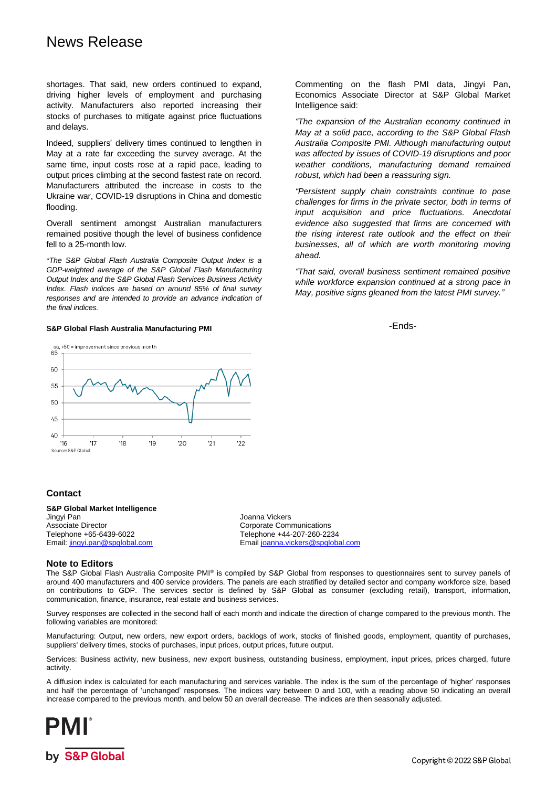## News Release

shortages. That said, new orders continued to expand, driving higher levels of employment and purchasing activity. Manufacturers also reported increasing their stocks of purchases to mitigate against price fluctuations and delays.

Indeed, suppliers' delivery times continued to lengthen in May at a rate far exceeding the survey average. At the same time, input costs rose at a rapid pace, leading to output prices climbing at the second fastest rate on record. Manufacturers attributed the increase in costs to the Ukraine war, COVID-19 disruptions in China and domestic flooding.

Overall sentiment amongst Australian manufacturers remained positive though the level of business confidence fell to a 25-month low.

*\*The S&P Global Flash Australia Composite Output Index is a GDP-weighted average of the S&P Global Flash Manufacturing Output Index and the S&P Global Flash Services Business Activity Index. Flash indices are based on around 85% of final survey responses and are intended to provide an advance indication of the final indices.*

#### **S&P Global Flash Australia Manufacturing PMI**



**Contact**

#### **S&P Global Market Intelligence**

Jingyi Pan Joanna Vickers Associate Director **Corporate Communications** Corporate Communications Telephone +65-6439-6022 Telephone +44-207-260-2234

Email joanna.vickers@spglobal.com

#### **Note to Editors**

The S&P Global Flash Australia Composite PMI® is compiled by S&P Global from responses to questionnaires sent to survey panels of around 400 manufacturers and 400 service providers. The panels are each stratified by detailed sector and company workforce size, based on contributions to GDP. The services sector is defined by S&P Global as consumer (excluding retail), transport, information, communication, finance, insurance, real estate and business services.

Survey responses are collected in the second half of each month and indicate the direction of change compared to the previous month. The following variables are monitored:

Manufacturing: Output, new orders, new export orders, backlogs of work, stocks of finished goods, employment, quantity of purchases, suppliers' delivery times, stocks of purchases, input prices, output prices, future output.

Services: Business activity, new business, new export business, outstanding business, employment, input prices, prices charged, future activity.

A diffusion index is calculated for each manufacturing and services variable. The index is the sum of the percentage of 'higher' responses and half the percentage of 'unchanged' responses. The indices vary between 0 and 100, with a reading above 50 indicating an overall increase compared to the previous month, and below 50 an overall decrease. The indices are then seasonally adjusted.



Commenting on the flash PMI data, Jingyi Pan, Economics Associate Director at S&P Global Market Intelligence said:

*"The expansion of the Australian economy continued in May at a solid pace, according to the S&P Global Flash Australia Composite PMI. Although manufacturing output was affected by issues of COVID-19 disruptions and poor weather conditions, manufacturing demand remained robust, which had been a reassuring sign.* 

*"Persistent supply chain constraints continue to pose challenges for firms in the private sector, both in terms of input acquisition and price fluctuations. Anecdotal evidence also suggested that firms are concerned with the rising interest rate outlook and the effect on their businesses, all of which are worth monitoring moving ahead.* 

*"That said, overall business sentiment remained positive while workforce expansion continued at a strong pace in May, positive signs gleaned from the latest PMI survey."*

-Ends-